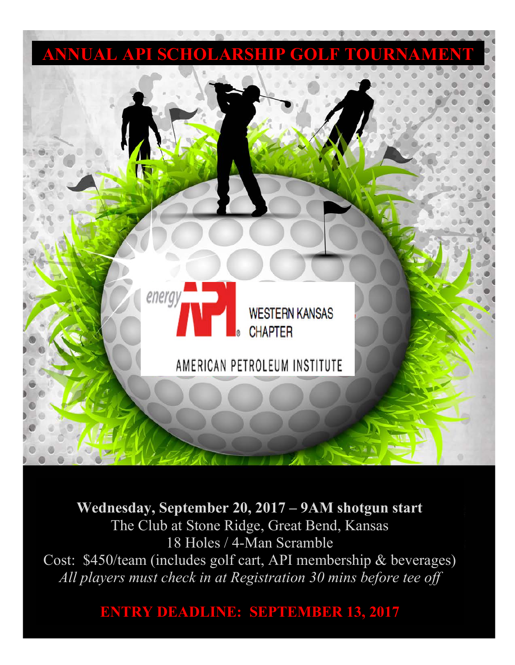

**Wednesday, September 20, 2017 – 9AM shotgun start** The Club at Stone Ridge, Great Bend, Kansas 18 Holes / 4-Man Scramble Cost: \$450/team (includes golf cart, API membership & beverages) *All players must check in at Registration 30 mins before tee off*

**ENTRY DEADLINE: SEPTEMBER 13, 2017**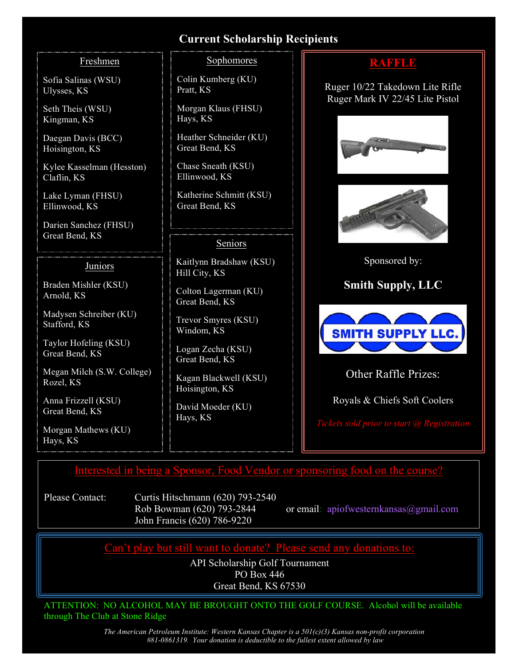### **Current Scholarship Recipients**

#### Freshmen

Sofia Salinas (WSU) Ulysses, KS

Seth Theis (WSU) Kingman, KS

Daegan Davis (BCC) Hoisington, KS

Kylee Kasselman (Hesston) Claflin, KS

Lake Lyman (FHSU) Ellinwood, KS

Darien Sanchez (FHSU) Great Bend, KS

#### Juniors

Braden Mishler (KSU) Arnold, KS

Madysen Schreiber (KU) Stafford, KS

Taylor Hofeling (KSU) Great Bend, KS

Megan Milch (S.W. College) Rozel, KS

Anna Frizzell (KSU) Great Bend, KS

Morgan Mathews (KU) Hays, KS

#### Sophomores

Colin Kumberg (KU) Pratt, KS

Morgan Klaus (FHSU) Hays, KS

Heather Schneider (KU) Great Bend, KS

Chase Sneath (KSU) Ellinwood, KS

Katherine Schmitt (KSU) Great Bend, KS

#### Seniors

Kaitlynn Bradshaw (KSU) Hill City, KS

Colton Lagerman (KU) Great Bend, KS

Trevor Smyres (KSU) Windom, KS

Logan Zecha (KSU) Great Bend, KS

Kagan Blackwell (KSU) Hoisington, KS

David Moeder (KU) Hays, KS

# **RAFFLE**

Ruger 10/22 Takedown Lite Rifle Ruger Mark IV 22/45 Lite Pistol





Sponsored by:

**Smith Supply, LLC**



Other Raffle Prizes:

Royals & Chiefs Soft Coolers

## Interested in being a Sponsor, Food Vendor or sponsoring food on the course?

Please Contact: Curtis Hitschmann (620) 793-2540 John Francis (620) 786-9220

Rob Bowman (620) 793-2844 or email: apiofwesternkansas@gmail.com

Can't play but still want to donate? Please send any donations to:

API Scholarship Golf Tournament PO Box 446 Great Bend, KS 67530

ATTENTION: NO ALCOHOL MAY BE BROUGHT ONTO THE GOLF COURSE. Alcohol will be available through The Club at Stone Ridge

> *The American Petroleum Institute: Western Kansas Chapter is a 501(c)(3) Kansas non-profit corporation #81-0861319. Your donation is deductible to the fullest extent allowed by law*